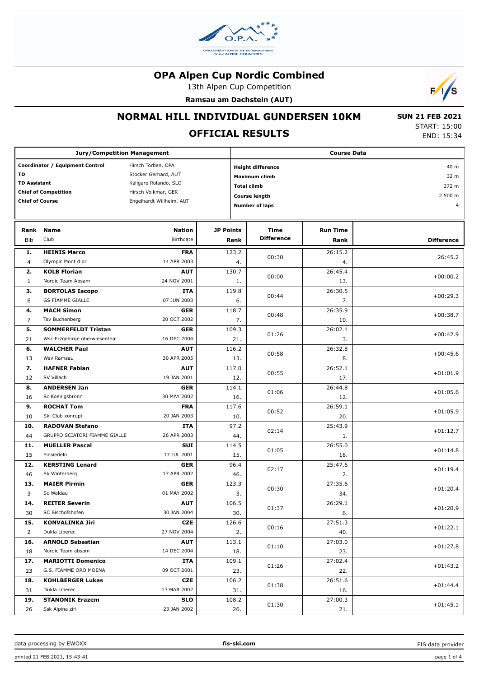

13th Alpen Cup Competition

**Ramsau am Dachstein (AUT)**



### **NORMAL HILL INDIVIDUAL GUNDERSEN 10KM**

# **OFFICIAL RESULTS**

 **SUN 21 FEB 2021** START: 15:00 END: 15:34

| <b>Jury/Competition Management</b>                    |                               |                          |                  | <b>Course Data</b>               |                           |                   |  |  |  |
|-------------------------------------------------------|-------------------------------|--------------------------|------------------|----------------------------------|---------------------------|-------------------|--|--|--|
| Coordinator / Equipment Control<br>Hirsch Torben, OPA |                               |                          |                  | 40 m<br><b>Height difference</b> |                           |                   |  |  |  |
| TD                                                    |                               | Stocker Gerhard, AUT     |                  |                                  | 32 m                      |                   |  |  |  |
| <b>TD Assistant</b>                                   |                               | Kaligaro Rolando, SLO    |                  | Maximum climb                    |                           |                   |  |  |  |
|                                                       | <b>Chief of Competition</b>   | Hirsch Volkmar, GER      |                  | <b>Total climb</b>               |                           | 372 m             |  |  |  |
| <b>Chief of Course</b>                                |                               | Engelhardt Willhelm, AUT |                  | <b>Course length</b>             | 2.500 m<br>$\overline{4}$ |                   |  |  |  |
|                                                       |                               |                          |                  | <b>Number of laps</b>            |                           |                   |  |  |  |
| Rank                                                  |                               | <b>Nation</b>            | <b>JP Points</b> |                                  | <b>Run Time</b>           |                   |  |  |  |
| <b>Bib</b>                                            | <b>Name</b><br>Club           | Birthdate                | Rank             | Time<br><b>Difference</b>        | Rank                      | <b>Difference</b> |  |  |  |
| 1.                                                    | <b>HEINIS Marco</b>           | <b>FRA</b>               | 123.2            | 00:30                            | 26:15.2                   | 26:45.2           |  |  |  |
| $\overline{4}$                                        | Olympic Mont d or             | 14 APR 2003              | 4.               |                                  | 4.                        |                   |  |  |  |
| 2.                                                    | <b>KOLB Florian</b>           | <b>AUT</b>               | 130.7            | 00:00                            | 26:45.4                   | $+00:00.2$        |  |  |  |
| $\mathbf{1}$                                          | Nordic Team Absam             | 24 NOV 2001              | 1.               |                                  | 13.                       |                   |  |  |  |
| з.                                                    | <b>BORTOLAS Iacopo</b>        | <b>ITA</b>               | 119.8            | 00:44                            | 26:30.5                   | $+00:29.3$        |  |  |  |
| 6                                                     | <b>GS FIAMME GIALLE</b>       | 07 JUN 2003              | 6.               |                                  | 7.                        |                   |  |  |  |
| 4.                                                    | <b>MACH Simon</b>             | <b>GER</b>               | 118.7            | 00:48                            | 26:35.9                   | $+00:38.7$        |  |  |  |
| $\overline{7}$                                        | Tsv Buchenberg                | 20 OCT 2002              | 7.               |                                  | 10.                       |                   |  |  |  |
| 5.                                                    | <b>SOMMERFELDT Tristan</b>    | <b>GER</b>               | 109.3            | 01:26                            | 26:02.1                   | $+00:42.9$        |  |  |  |
| 21                                                    | Wsc Erzgebirge oberwiesenthal | 16 DEC 2004              | 21.              |                                  | 3.                        |                   |  |  |  |
| 6.                                                    | <b>WALCHER Paul</b>           | <b>AUT</b>               | 116.2            | 00:58                            | 26:32.8                   | $+00:45.6$        |  |  |  |
| 13                                                    | Wsv Ramsau                    | 30 APR 2005              | 13.              |                                  | 8.                        |                   |  |  |  |
| 7.                                                    | <b>HAFNER Fabian</b>          | <b>AUT</b>               | 117.0            |                                  | 26:52.1                   |                   |  |  |  |
| 12                                                    | SV Villach                    | 19 JAN 2001              | 12.              | 00:55                            | 17.                       | $+01:01.9$        |  |  |  |
| 8.                                                    | <b>ANDERSEN Jan</b>           | <b>GER</b>               | 114.1            |                                  | 26:44.8                   |                   |  |  |  |
| 16                                                    | Sc Koenigsbronn               | 30 MAY 2002              | 16.              | 01:06                            | 12.                       | $+01:05.6$        |  |  |  |
| 9.                                                    | <b>ROCHAT Tom</b>             | <b>FRA</b>               | 117.6            |                                  | 26:59.1                   |                   |  |  |  |
| 10                                                    | Ski Club xonrupt              | 20 JAN 2003              | 10.              | 00:52                            | 20.                       | $+01:05.9$        |  |  |  |
| 10.                                                   | <b>RADOVAN Stefano</b>        | ITA                      | 97.2             | 02:14                            | 25:43.9                   | $+01:12.7$        |  |  |  |
| 44                                                    | GRUPPO SCIATORI FIAMME GIALLE | 26 APR 2003              | 44.              |                                  | 1.                        |                   |  |  |  |
| 11.                                                   | <b>MUELLER Pascal</b>         | <b>SUI</b>               | 114.5            | 01:05                            | 26:55.0                   | $+01:14.8$        |  |  |  |
| 15                                                    | Einsiedeln                    | 17 JUL 2001              | 15.              |                                  | 18.                       |                   |  |  |  |
| 12.                                                   | <b>KERSTING Lenard</b>        | <b>GER</b>               | 96.4             | 02:17                            | 25:47.6                   | $+01:19.4$        |  |  |  |
| 46                                                    | Sk Winterberg                 | 17 APR 2002              | 46.              |                                  | 2.                        |                   |  |  |  |
| 13.                                                   | <b>MAIER Pirmin</b>           | <b>GER</b>               | 123.3            | 00:30                            | 27:35.6                   | $+01:20.4$        |  |  |  |
| 3                                                     | Sc Waldau                     | 01 MAY 2002              | 3.               |                                  | 34.                       |                   |  |  |  |
| 14.                                                   | <b>REITER Severin</b>         | <b>AUT</b>               | 106.5            | 01:37                            | 26:29.1                   | $+01:20.9$        |  |  |  |
| 30                                                    | SC Bischofshofen              | 30 JAN 2004              | 30.              |                                  | 6.                        |                   |  |  |  |
| 15.                                                   | <b>KONVALINKA Jiri</b>        | <b>CZE</b>               | 126.6            | 00:16                            | 27:51.3                   | $+01:22.1$        |  |  |  |
| $\overline{2}$                                        | Dukla Liberec                 | 27 NOV 2004              | 2.               |                                  | 40.                       |                   |  |  |  |
| 16.                                                   | <b>ARNOLD Sebastian</b>       | <b>AUT</b>               | 113.1            | 01:10                            | 27:03.0                   | $+01:27.8$        |  |  |  |
| 18                                                    | Nordic Team absam             | 14 DEC 2004              | 18.              |                                  | 23.                       |                   |  |  |  |
| 17.                                                   | <b>MARIOTTI Domenico</b>      | ITA                      | 109.1            | 01:26                            | 27:02.4                   | $+01:43.2$        |  |  |  |
| 23                                                    | G.S. FIAMME ORO MOENA         | 09 OCT 2001              | 23.              |                                  | 22.                       |                   |  |  |  |
| 18.                                                   | <b>KOHLBERGER Lukas</b>       | <b>CZE</b>               | 106.2            | 01:38                            | 26:51.6                   | $+01:44.4$        |  |  |  |
| 31                                                    | Dukla Liberec                 | 13 MAR 2002              | 31.              |                                  | 16.                       |                   |  |  |  |
| 19.                                                   | <b>STANONIK Erazem</b>        | <b>SLO</b>               | 108.2            | 01:30                            | 27:00.3                   | $+01:45.1$        |  |  |  |
| 26                                                    | Ssk Alpina ziri               | 23 JAN 2002              | 26.              |                                  | 21.                       |                   |  |  |  |

FIS data provider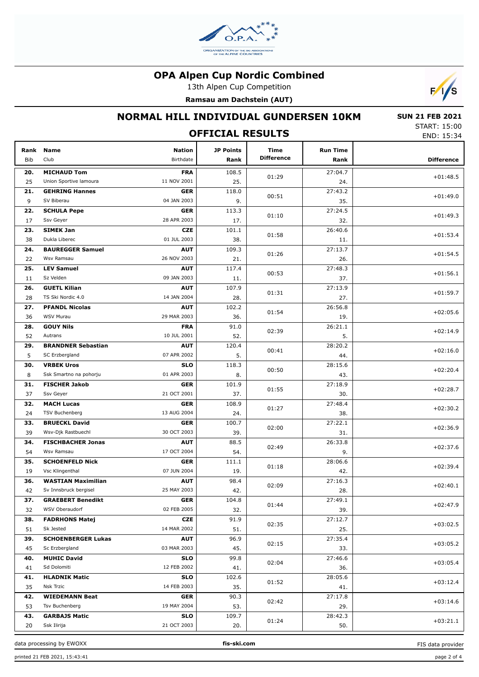

13th Alpen Cup Competition

**Ramsau am Dachstein (AUT)**



### **NORMAL HILL INDIVIDUAL GUNDERSEN 10KM**

 **SUN 21 FEB 2021** START: 15:00 END: 15:34

| <b>OFFICIAL RESULTS</b> |                           |                            |                          |                           |                         |                   |  |  |
|-------------------------|---------------------------|----------------------------|--------------------------|---------------------------|-------------------------|-------------------|--|--|
| Rank<br>Bib             | <b>Name</b><br>Club       | <b>Nation</b><br>Birthdate | <b>JP Points</b><br>Rank | Time<br><b>Difference</b> | <b>Run Time</b><br>Rank | <b>Difference</b> |  |  |
| 20.                     | <b>MICHAUD Tom</b>        | <b>FRA</b>                 | 108.5                    | 01:29                     | 27:04.7                 | $+01:48.5$        |  |  |
| 25                      | Union Sportive lamoura    | 11 NOV 2001                | 25.                      |                           | 24.                     |                   |  |  |
| 21.                     | <b>GEHRING Hannes</b>     | <b>GER</b>                 | 118.0                    | 00:51                     | 27:43.2                 | $+01:49.0$        |  |  |
| 9                       | SV Biberau                | 04 JAN 2003                | 9.                       |                           | 35.                     |                   |  |  |
| 22.                     | <b>SCHULA Pepe</b>        | <b>GER</b>                 | 113.3                    | 01:10                     | 27:24.5                 | $+01:49.3$        |  |  |
| 17                      | Ssv Geyer                 | 28 APR 2003                | 17.                      |                           | 32.                     |                   |  |  |
| 23.                     | <b>SIMEK Jan</b>          | <b>CZE</b>                 | 101.1                    | 01:58                     | 26:40.6                 | $+01:53.4$        |  |  |
| 38                      | Dukla Liberec             | 01 JUL 2003                | 38.                      |                           | 11.                     |                   |  |  |
| 24.                     | <b>BAUREGGER Samuel</b>   | <b>AUT</b>                 | 109.3                    | 01:26                     | 27:13.7                 | $+01:54.5$        |  |  |
| 22                      | Wsv Ramsau                | 26 NOV 2003                | 21.                      |                           | 26.                     |                   |  |  |
| 25.                     | <b>LEV Samuel</b>         | <b>AUT</b>                 | 117.4                    | 00:53                     | 27:48.3                 | $+01:56.1$        |  |  |
| 11                      | Sz Velden                 | 09 JAN 2003                | 11.                      |                           | 37.                     |                   |  |  |
| 26.                     | <b>GUETL Kilian</b>       | <b>AUT</b>                 | 107.9                    | 01:31                     | 27:13.9                 | $+01:59.7$        |  |  |
| 28                      | TS Ski Nordic 4.0         | 14 JAN 2004                | 28.                      |                           | 27.                     |                   |  |  |
| 27.                     | <b>PFANDL Nicolas</b>     | <b>AUT</b>                 | 102.2                    | 01:54                     | 26:56.8                 | $+02:05.6$        |  |  |
| 36                      | WSV Murau                 | 29 MAR 2003                | 36.                      |                           | 19.                     |                   |  |  |
| 28.                     | <b>GOUY Nils</b>          | <b>FRA</b>                 | 91.0                     | 02:39                     | 26:21.1                 | $+02:14.9$        |  |  |
| 52                      | Autrans                   | 10 JUL 2001                | 52.                      |                           | 5.                      |                   |  |  |
| 29.                     | <b>BRANDNER Sebastian</b> | <b>AUT</b>                 | 120.4                    | 00:41                     | 28:20.2                 | $+02:16.0$        |  |  |
| 5                       | SC Erzbergland            | 07 APR 2002                | 5.                       |                           | 44.                     |                   |  |  |
| 30.                     | <b>VRBEK Uros</b>         | <b>SLO</b>                 | 118.3                    | 00:50                     | 28:15.6                 | $+02:20.4$        |  |  |
| 8                       | Ssk Smartno na pohorju    | 01 APR 2003                | 8.                       |                           | 43.                     |                   |  |  |
| 31.                     | <b>FISCHER Jakob</b>      | <b>GER</b>                 | 101.9                    | 01:55                     | 27:18.9                 | $+02:28.7$        |  |  |
| 37                      | Ssv Geyer                 | 21 OCT 2001                | 37.                      |                           | 30.                     |                   |  |  |
| 32.                     | <b>MACH Lucas</b>         | <b>GER</b>                 | 108.9                    | 01:27                     | 27:48.4                 | $+02:30.2$        |  |  |
| 24                      | TSV Buchenberg            | 13 AUG 2004                | 24.                      |                           | 38.                     |                   |  |  |
| 33.                     | <b>BRUECKL David</b>      | <b>GER</b>                 | 100.7                    | 02:00                     | 27:22.1                 | $+02:36.9$        |  |  |
| 39                      | Wsv-Djk Rastbuechl        | 30 OCT 2003                | 39.                      |                           | 31.                     |                   |  |  |
| 34.                     | <b>FISCHBACHER Jonas</b>  | <b>AUT</b>                 | 88.5                     | 02:49                     | 26:33.8                 | $+02:37.6$        |  |  |
| 54                      | Wsv Ramsau                | 17 OCT 2004                | 54.                      |                           | 9.                      |                   |  |  |
| 35.                     | <b>SCHOENFELD Nick</b>    | <b>GER</b>                 | 111.1                    | 01:18                     | 28:06.6                 | $+02:39.4$        |  |  |
| 19                      | Vsc Klingenthal           | 07 JUN 2004                | 19.                      |                           | 42.                     |                   |  |  |
| 36.                     | <b>WASTIAN Maximilian</b> | <b>AUT</b>                 | 98.4                     | 02:09                     | 27:16.3                 | $+02:40.1$        |  |  |
| 42                      | Sv Innsbruck bergisel     | 25 MAY 2003                | 42.                      |                           | 28.                     |                   |  |  |
| 37.                     | <b>GRAEBERT Benedikt</b>  | <b>GER</b>                 | 104.8                    | 01:44                     | 27:49.1                 | $+02:47.9$        |  |  |
| 32                      | WSV Oberaudorf            | 02 FEB 2005                | 32.                      |                           | 39.                     |                   |  |  |
| 38.                     | <b>FADRHONS Matej</b>     | CZE                        | 91.9                     | 02:35                     | 27:12.7                 | $+03:02.5$        |  |  |
| 51                      | Sk Jested                 | 14 MAR 2002                | 51.                      |                           | 25.                     |                   |  |  |
| 39.                     | <b>SCHOENBERGER Lukas</b> | <b>AUT</b>                 | 96.9                     | 02:15                     | 27:35.4                 | $+03:05.2$        |  |  |
| 45                      | Sc Erzbergland            | 03 MAR 2003                | 45.                      |                           | 33.                     |                   |  |  |
| 40.                     | <b>MUHIC David</b>        | <b>SLO</b>                 | 99.8                     | 02:04                     | 27:46.6                 | $+03:05.4$        |  |  |
| 41                      | Sd Dolomiti               | 12 FEB 2002                | 41.                      |                           | 36.                     |                   |  |  |
| 41.                     | <b>HLADNIK Matic</b>      | <b>SLO</b>                 | 102.6                    | 01:52                     | 28:05.6                 | $+03:12.4$        |  |  |
| 35                      | Nsk Trzic                 | 14 FEB 2003                | 35.                      |                           | 41.                     |                   |  |  |
| 42.                     | <b>WIEDEMANN Beat</b>     | <b>GER</b>                 | 90.3                     | 02:42                     | 27:17.8                 | $+03:14.6$        |  |  |
| 53                      | Tsv Buchenberg            | 19 MAY 2004                | 53.                      |                           | 29.                     |                   |  |  |
| 43.                     | <b>GARBAJS Matic</b>      | <b>SLO</b>                 | 109.7                    | 01:24                     | 28:42.3                 | $+03:21.1$        |  |  |
| 20                      | Ssk Ilirija               | 21 OCT 2003                | 20.                      |                           | 50.                     |                   |  |  |

data processing by EWOXX **fis-ski.com**

FIS data provider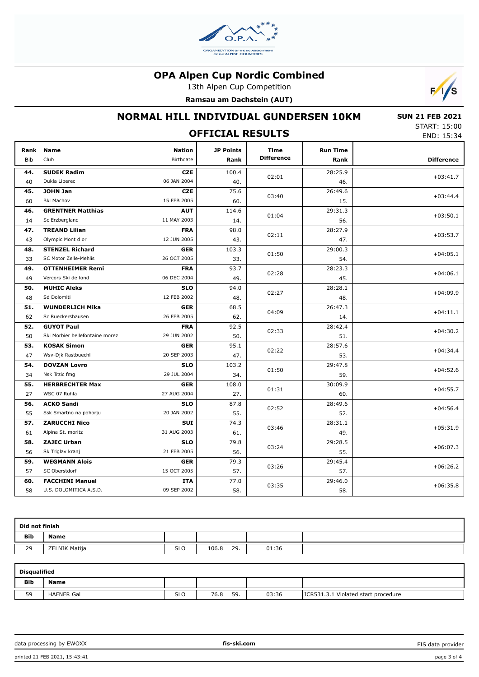

13th Alpen Cup Competition

**Ramsau am Dachstein (AUT)**



# **NORMAL HILL INDIVIDUAL GUNDERSEN 10KM**

 **SUN 21 FEB 2021** START: 15:00 END: 15:34

| <b>OFFICIAL RESULTS</b> |                                 |                            |                   |                           |                         |                   |  |  |
|-------------------------|---------------------------------|----------------------------|-------------------|---------------------------|-------------------------|-------------------|--|--|
| Rank<br><b>Bib</b>      | <b>Name</b><br>Club             | <b>Nation</b><br>Birthdate | JP Points<br>Rank | Time<br><b>Difference</b> | <b>Run Time</b><br>Rank | <b>Difference</b> |  |  |
| 44.                     | <b>SUDEK Radim</b>              | <b>CZE</b>                 | 100.4             |                           | 28:25.9                 |                   |  |  |
| 40                      | Dukla Liberec                   | 06 JAN 2004                | 40.               | 02:01                     | 46.                     | $+03:41.7$        |  |  |
| 45.                     | <b>JOHN Jan</b>                 | <b>CZE</b>                 | 75.6              |                           | 26:49.6                 |                   |  |  |
| 60                      | <b>Bkl Machov</b>               | 15 FEB 2005                | 60.               | 03:40                     | 15.                     | $+03:44.4$        |  |  |
| 46.                     | <b>GRENTNER Matthias</b>        | <b>AUT</b>                 | 114.6             |                           | 29:31.3                 |                   |  |  |
| 14                      | Sc Erzbergland                  | 11 MAY 2003                | 14.               | 01:04                     | 56.                     | $+03:50.1$        |  |  |
| 47.                     | <b>TREAND Lilian</b>            | <b>FRA</b>                 | 98.0              |                           | 28:27.9                 |                   |  |  |
| 43                      | Olympic Mont d or               | 12 JUN 2005                | 43.               | 02:11                     | 47.                     | $+03:53.7$        |  |  |
| 48.                     | <b>STENZEL Richard</b>          | <b>GER</b>                 | 103.3             |                           | 29:00.3                 |                   |  |  |
| 33                      | SC Motor Zelle-Mehlis           | 26 OCT 2005                | 33.               | 01:50                     | 54.                     | $+04:05.1$        |  |  |
| 49.                     | <b>OTTENHEIMER Remi</b>         | <b>FRA</b>                 | 93.7              |                           | 28:23.3                 |                   |  |  |
| 49                      | Vercors Ski de fond             | 06 DEC 2004                | 49.               | 02:28                     | 45.                     | $+04:06.1$        |  |  |
| 50.                     | <b>MUHIC Aleks</b>              | <b>SLO</b>                 | 94.0              | 02:27                     | 28:28.1                 | $+04:09.9$        |  |  |
| 48                      | Sd Dolomiti                     | 12 FEB 2002                | 48.               |                           | 48.                     |                   |  |  |
| 51.                     | <b>WUNDERLICH Mika</b>          | <b>GER</b>                 | 68.5              |                           | 26:47.3                 |                   |  |  |
| 62                      | Sc Rueckershausen               | 26 FEB 2005                | 62.               | 04:09                     | 14.                     | $+04:11.1$        |  |  |
| 52.                     | <b>GUYOT Paul</b>               | <b>FRA</b>                 | 92.5              |                           | 28:42.4                 |                   |  |  |
| 50                      | Ski Morbier bellefontaine morez | 29 JUN 2002                | 50.               | 02:33                     | 51.                     | $+04:30.2$        |  |  |
| 53.                     | <b>KOSAK Simon</b>              | <b>GER</b>                 | 95.1              |                           | 28:57.6                 | $+04:34.4$        |  |  |
| 47                      | Wsv-Djk Rastbuechl              | 20 SEP 2003                | 47.               | 02:22                     | 53.                     |                   |  |  |
| 54.                     | <b>DOVZAN Lovro</b>             | <b>SLO</b>                 | 103.2             |                           | 29:47.8                 |                   |  |  |
| 34                      | Nsk Trzic fmg                   | 29 JUL 2004                | 34.               | 01:50                     | 59.                     | $+04:52.6$        |  |  |
| 55.                     | <b>HERBRECHTER Max</b>          | <b>GER</b>                 | 108.0             |                           | 30:09.9                 | $+04:55.7$        |  |  |
| 27                      | WSC 07 Ruhla                    | 27 AUG 2004                | 27.               | 01:31                     | 60.                     |                   |  |  |
| 56.                     | <b>ACKO Sandi</b>               | <b>SLO</b>                 | 87.8              | 02:52                     | 28:49.6                 | $+04:56.4$        |  |  |
| 55                      | Ssk Smartno na pohorju          | 20 JAN 2002                | 55.               |                           | 52.                     |                   |  |  |
| 57.                     | <b>ZARUCCHI Nico</b>            | <b>SUI</b>                 | 74.3              | 03:46                     | 28:31.1                 | $+05:31.9$        |  |  |
| 61                      | Alpina St. moritz               | 31 AUG 2003                | 61.               |                           | 49.                     |                   |  |  |
| 58.                     | <b>ZAJEC Urban</b>              | <b>SLO</b>                 | 79.8              | 03:24                     | 29:28.5                 | $+06:07.3$        |  |  |
| 56                      | Sk Triglav kranj                | 21 FEB 2005                | 56.               |                           | 55.                     |                   |  |  |
| 59.                     | <b>WEGMANN Alois</b>            | <b>GER</b>                 | 79.3              | 03:26                     | 29:45.4                 | $+06:26.2$        |  |  |
| 57                      | SC Oberstdorf                   | 15 OCT 2005                | 57.               |                           | 57.                     |                   |  |  |
| 60.                     | <b>FACCHINI Manuel</b>          | ITA                        | 77.0              | 03:35                     | 29:46.0                 | $+06:35.8$        |  |  |
| 58                      | U.S. DOLOMITICA A.S.D.          | 09 SEP 2002                | 58.               |                           | 58.                     |                   |  |  |

| Did not finish |               |            |              |       |  |  |  |  |
|----------------|---------------|------------|--------------|-------|--|--|--|--|
| Bib            | <b>Name</b>   |            |              |       |  |  |  |  |
| 29             | ZELNIK Matija | <b>SLO</b> | 29.<br>106.8 | 01:36 |  |  |  |  |

| Disgualified |                   |            |             |       |                                     |  |  |  |
|--------------|-------------------|------------|-------------|-------|-------------------------------------|--|--|--|
| <b>Bib</b>   | <b>Name</b>       |            |             |       |                                     |  |  |  |
| 59           | <b>HAFNER Gal</b> | <b>SLO</b> | 59.<br>76.8 | 03:36 | ICR531.3.1 Violated start procedure |  |  |  |

data processing by EWOXX **fis-ski.com**

FIS data provider